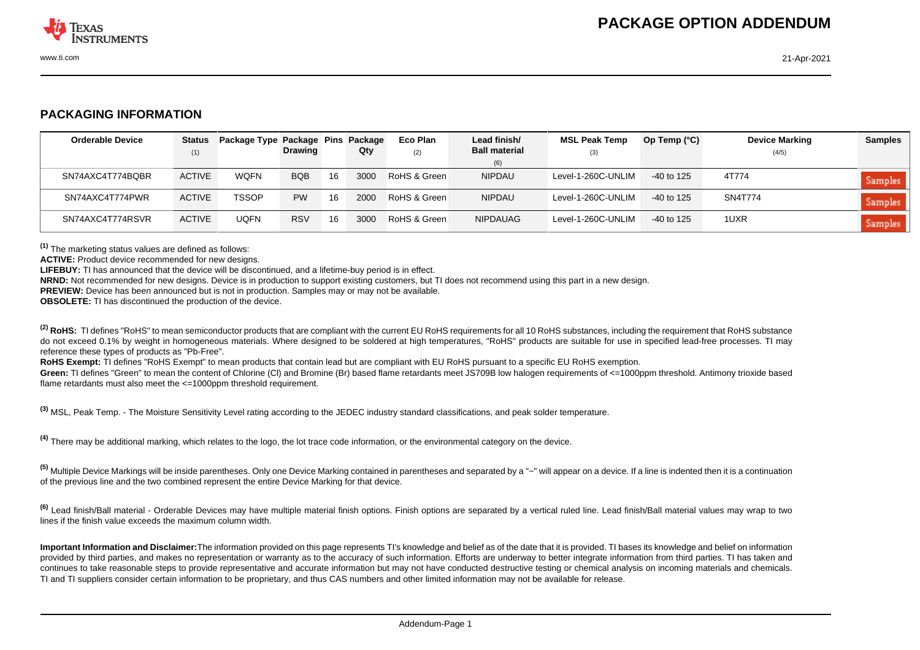

## **PACKAGING INFORMATION**

| <b>Orderable Device</b> | <b>Status</b> | Package Type Package Pins Package |                |    |      | Eco Plan     | Lead finish/         | <b>MSL Peak Temp</b> | Op Temp $(^{\circ}C)$ | <b>Device Marking</b> | <b>Samples</b> |
|-------------------------|---------------|-----------------------------------|----------------|----|------|--------------|----------------------|----------------------|-----------------------|-----------------------|----------------|
|                         | (1)           |                                   | <b>Drawing</b> |    | Qty  | (2)          | <b>Ball material</b> | (3)                  |                       | (4/5)                 |                |
|                         |               |                                   |                |    |      |              | (6)                  |                      |                       |                       |                |
| SN74AXC4T774BQBR        | <b>ACTIVE</b> | WQFN                              | <b>BQB</b>     | 16 | 3000 | RoHS & Green | <b>NIPDAU</b>        | Level-1-260C-UNLIM   | -40 to 125            | 4T774                 | Samples        |
| SN74AXC4T774PWR         | <b>ACTIVE</b> | <b>TSSOP</b>                      | <b>PW</b>      | 16 | 2000 | RoHS & Green | <b>NIPDAU</b>        | Level-1-260C-UNLIM   | $-40$ to 125          | SN4T774               | Samples        |
| SN74AXC4T774RSVR        | <b>ACTIVE</b> | <b>UQFN</b>                       | <b>RSV</b>     | 16 | 3000 | RoHS & Green | NIPDAUAG             | Level-1-260C-UNLIM   | -40 to 125            | 1UXR                  | Samples        |

**(1)** The marketing status values are defined as follows:

**ACTIVE:** Product device recommended for new designs.

**LIFEBUY:** TI has announced that the device will be discontinued, and a lifetime-buy period is in effect.

**NRND:** Not recommended for new designs. Device is in production to support existing customers, but TI does not recommend using this part in a new design.

**PREVIEW:** Device has been announced but is not in production. Samples may or may not be available.

**OBSOLETE:** TI has discontinued the production of the device.

<sup>(2)</sup> RoHS: TI defines "RoHS" to mean semiconductor products that are compliant with the current EU RoHS requirements for all 10 RoHS substances, including the requirement that RoHS substance do not exceed 0.1% by weight in homogeneous materials. Where designed to be soldered at high temperatures, "RoHS" products are suitable for use in specified lead-free processes. TI may reference these types of products as "Pb-Free".

RoHS Exempt: TI defines "RoHS Exempt" to mean products that contain lead but are compliant with EU RoHS pursuant to a specific EU RoHS exemption.

Green: TI defines "Green" to mean the content of Chlorine (CI) and Bromine (Br) based flame retardants meet JS709B low halogen requirements of <=1000ppm threshold. Antimony trioxide based flame retardants must also meet the <=1000ppm threshold requirement.

**(3)** MSL, Peak Temp. - The Moisture Sensitivity Level rating according to the JEDEC industry standard classifications, and peak solder temperature.

**(4)** There may be additional marking, which relates to the logo, the lot trace code information, or the environmental category on the device.

**(5)** Multiple Device Markings will be inside parentheses. Only one Device Marking contained in parentheses and separated by a "~" will appear on a device. If a line is indented then it is a continuation of the previous line and the two combined represent the entire Device Marking for that device.

**(6)** Lead finish/Ball material - Orderable Devices may have multiple material finish options. Finish options are separated by a vertical ruled line. Lead finish/Ball material values may wrap to two lines if the finish value exceeds the maximum column width.

**Important Information and Disclaimer:**The information provided on this page represents TI's knowledge and belief as of the date that it is provided. TI bases its knowledge and belief on information provided by third parties, and makes no representation or warranty as to the accuracy of such information. Efforts are underway to better integrate information from third parties. TI has taken and continues to take reasonable steps to provide representative and accurate information but may not have conducted destructive testing or chemical analysis on incoming materials and chemicals. TI and TI suppliers consider certain information to be proprietary, and thus CAS numbers and other limited information may not be available for release.